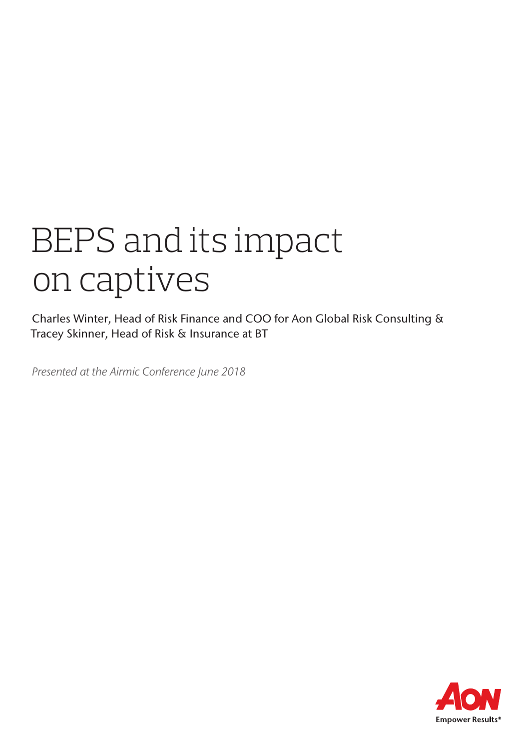# BEPS and its impact on captives

Charles Winter, Head of Risk Finance and COO for Aon Global Risk Consulting & Tracey Skinner, Head of Risk & Insurance at BT

*Presented at the Airmic Conference June 2018*

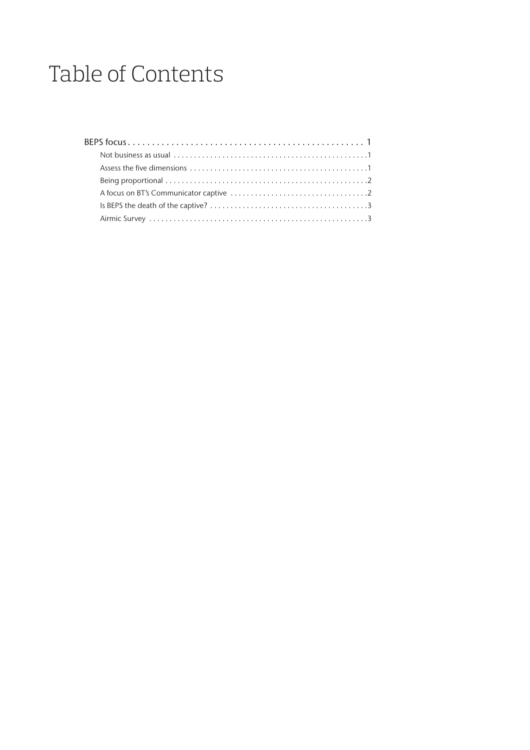# Table of Contents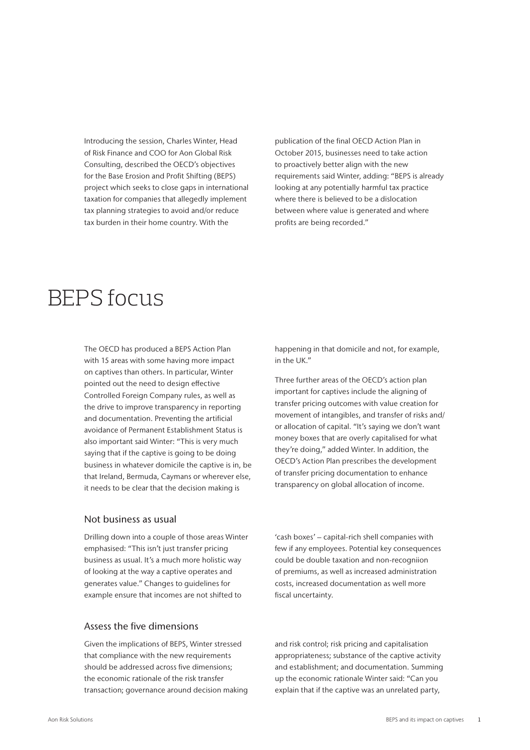Introducing the session, Charles Winter, Head of Risk Finance and COO for Aon Global Risk Consulting, described the OECD's objectives for the Base Erosion and Profit Shifting (BEPS) project which seeks to close gaps in international taxation for companies that allegedly implement tax planning strategies to avoid and/or reduce tax burden in their home country. With the

publication of the final OECD Action Plan in October 2015, businesses need to take action to proactively better align with the new requirements said Winter, adding: "BEPS is already looking at any potentially harmful tax practice where there is believed to be a dislocation between where value is generated and where profits are being recorded."

# BEPS focus

The OECD has produced a BEPS Action Plan with 15 areas with some having more impact on captives than others. In particular, Winter pointed out the need to design effective Controlled Foreign Company rules, as well as the drive to improve transparency in reporting and documentation. Preventing the artificial avoidance of Permanent Establishment Status is also important said Winter: "This is very much saying that if the captive is going to be doing business in whatever domicile the captive is in, be that Ireland, Bermuda, Caymans or wherever else, it needs to be clear that the decision making is

happening in that domicile and not, for example, in the UK."

Three further areas of the OECD's action plan important for captives include the aligning of transfer pricing outcomes with value creation for movement of intangibles, and transfer of risks and/ or allocation of capital. "It's saying we don't want money boxes that are overly capitalised for what they're doing," added Winter. In addition, the OECD's Action Plan prescribes the development of transfer pricing documentation to enhance transparency on global allocation of income.

#### Not business as usual

Drilling down into a couple of those areas Winter emphasised: "This isn't just transfer pricing business as usual. It's a much more holistic way of looking at the way a captive operates and generates value." Changes to guidelines for example ensure that incomes are not shifted to

Assess the five dimensions

Given the implications of BEPS, Winter stressed that compliance with the new requirements should be addressed across five dimensions; the economic rationale of the risk transfer transaction; governance around decision making

'cash boxes' – capital-rich shell companies with few if any employees. Potential key consequences could be double taxation and non-recogniion of premiums, as well as increased administration costs, increased documentation as well more fiscal uncertainty.

and risk control; risk pricing and capitalisation appropriateness; substance of the captive activity and establishment; and documentation. Summing up the economic rationale Winter said: "Can you explain that if the captive was an unrelated party,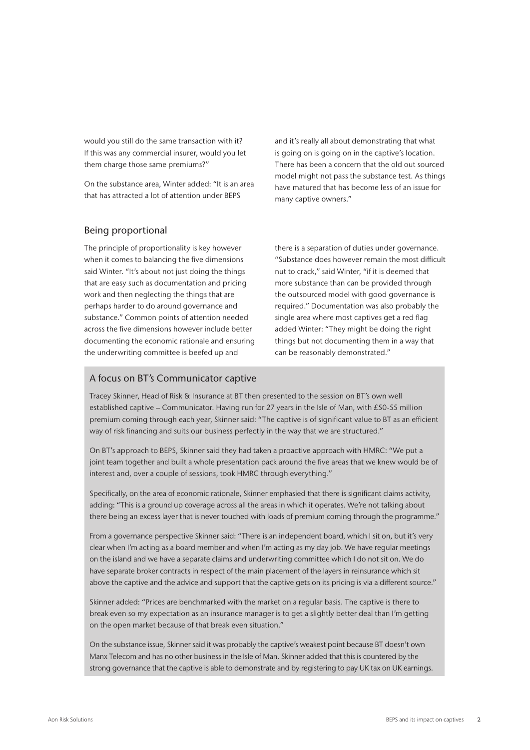would you still do the same transaction with it? If this was any commercial insurer, would you let them charge those same premiums?"

On the substance area, Winter added: "It is an area that has attracted a lot of attention under BEPS

and it's really all about demonstrating that what is going on is going on in the captive's location. There has been a concern that the old out sourced model might not pass the substance test. As things have matured that has become less of an issue for many captive owners."

### Being proportional

The principle of proportionality is key however when it comes to balancing the five dimensions said Winter. "It's about not just doing the things that are easy such as documentation and pricing work and then neglecting the things that are perhaps harder to do around governance and substance." Common points of attention needed across the five dimensions however include better documenting the economic rationale and ensuring the underwriting committee is beefed up and

there is a separation of duties under governance. "Substance does however remain the most difficult nut to crack," said Winter, "if it is deemed that more substance than can be provided through the outsourced model with good governance is required." Documentation was also probably the single area where most captives get a red flag added Winter: "They might be doing the right things but not documenting them in a way that can be reasonably demonstrated."

#### A focus on BT's Communicator captive

Tracey Skinner, Head of Risk & Insurance at BT then presented to the session on BT's own well established captive – Communicator. Having run for 27 years in the Isle of Man, with £50-55 million premium coming through each year, Skinner said: "The captive is of significant value to BT as an efficient way of risk financing and suits our business perfectly in the way that we are structured."

On BT's approach to BEPS, Skinner said they had taken a proactive approach with HMRC: "We put a joint team together and built a whole presentation pack around the five areas that we knew would be of interest and, over a couple of sessions, took HMRC through everything."

Specifically, on the area of economic rationale, Skinner emphasied that there is significant claims activity, adding: "This is a ground up coverage across all the areas in which it operates. We're not talking about there being an excess layer that is never touched with loads of premium coming through the programme."

From a governance perspective Skinner said: "There is an independent board, which I sit on, but it's very clear when I'm acting as a board member and when I'm acting as my day job. We have regular meetings on the island and we have a separate claims and underwriting committee which I do not sit on. We do have separate broker contracts in respect of the main placement of the layers in reinsurance which sit above the captive and the advice and support that the captive gets on its pricing is via a different source."

Skinner added: "Prices are benchmarked with the market on a regular basis. The captive is there to break even so my expectation as an insurance manager is to get a slightly better deal than I'm getting on the open market because of that break even situation."

On the substance issue, Skinner said it was probably the captive's weakest point because BT doesn't own Manx Telecom and has no other business in the Isle of Man. Skinner added that this is countered by the strong governance that the captive is able to demonstrate and by registering to pay UK tax on UK earnings.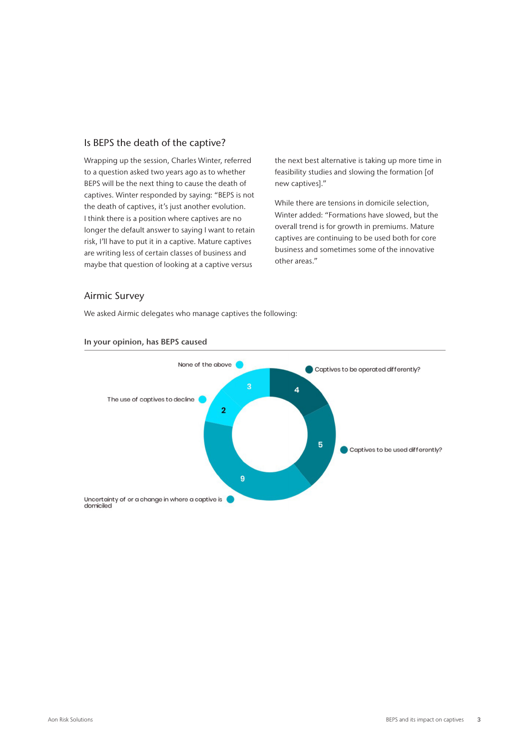### Is BEPS the death of the captive?

Wrapping up the session, Charles Winter, referred to a question asked two years ago as to whether BEPS will be the next thing to cause the death of captives. Winter responded by saying: "BEPS is not the death of captives, it's just another evolution. I think there is a position where captives are no longer the default answer to saying I want to retain risk, I'll have to put it in a captive. Mature captives are writing less of certain classes of business and maybe that question of looking at a captive versus

the next best alternative is taking up more time in feasibility studies and slowing the formation [of new captives]."

While there are tensions in domicile selection. Winter added: "Formations have slowed, but the overall trend is for growth in premiums. Mature captives are continuing to be used both for core business and sometimes some of the innovative other areas."

#### Airmic Survey

We asked Airmic delegates who manage captives the following:



#### In your opinion, has BEPS caused

domiciled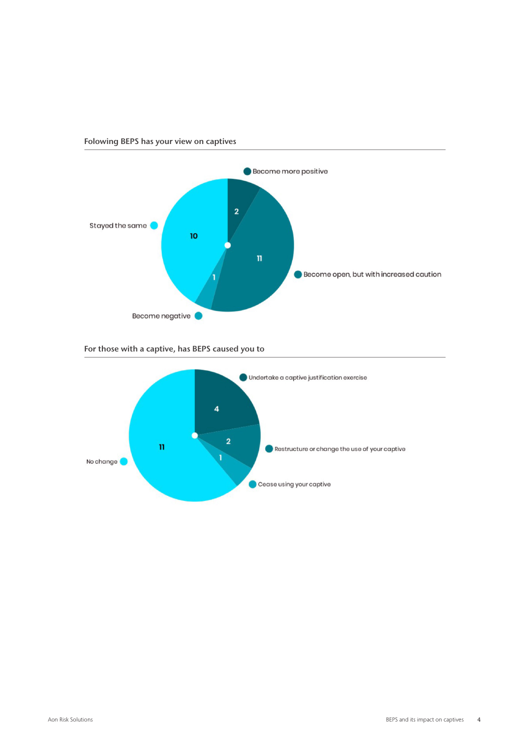

Folowing BEPS has your view on captives

For those with a captive, has BEPS caused you to